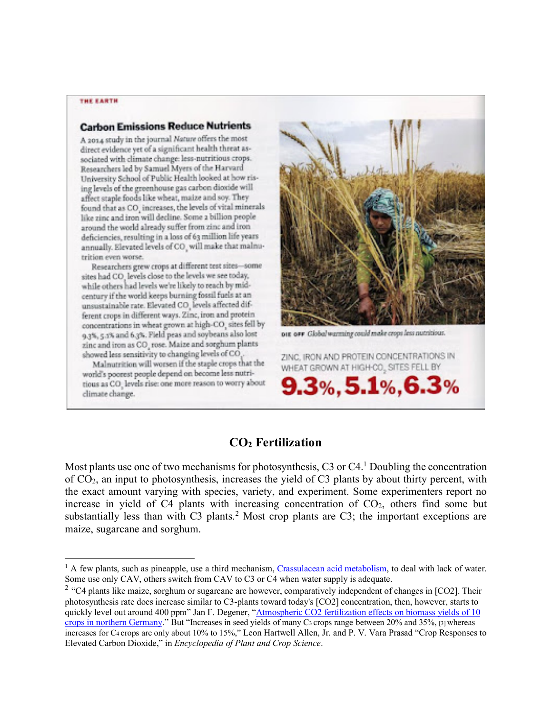#### THE EARTH

#### **Carbon Emissions Reduce Nutrients**

A 2014 study in the journal Nature offers the most direct evidence yet of a significant health threat associated with climate change: less-nutritious crops. Researchers led by Samuel Myers of the Harvard University School of Public Health looked at how rising levels of the greenhouse gas carbon dioxide will affect staple foods like wheat, maize and soy. They found that as CO<sub>,</sub> increases, the levels of vital minerals like zinc and iron will decline. Some 2 billion people around the world already suffer from zinc and iron deficiencies, resulting in a loss of 63 million life years annually. Elevated levels of CO, will make that malnutrition even worse.

Researchers grew crops at different test sites-some sites had CO<sub>,</sub> levels close to the levels we see today, while others had levels we're likely to reach by midcentury if the world keeps burning fossil fuels at an unsustainable rate. Elevated CO, levels affected different crops in different ways. Zinc, iron and protein concentrations in wheat grown at high-CO<sub>,</sub> sites fell by 9.3%, 5.3% and 6.3%. Field peas and soybeans also lost zinc and iron as CO<sub>,</sub> rose. Maize and sorghum plants showed less sensitivity to changing levels of CO.

Malmutrition will worsen if the staple crops that the world's poorest people depend on become less nutritious as CO<sub>.</sub> levels rise: one more reason to worry about climate change.



org over Global warming could make crops less nutritious.

ZINC, IRON AND PROTEIN CONCENTRATIONS IN WHEAT GROWN AT HIGH-CO., SITES FELL BY

 $9.3\%$ , 5.1%, 6.3%

# **CO2 Fertilization**

Most plants use one of two mechanisms for photosynthesis, C3 or C4.<sup>1</sup> Doubling the concentration of CO2, an input to photosynthesis, increases the yield of C3 plants by about thirty percent, with the exact amount varying with species, variety, and experiment. Some experimenters report no increase in yield of C4 plants with increasing concentration of  $CO<sub>2</sub>$ , others find some but substantially less than with C3 plants.<sup>2</sup> Most crop plants are C3; the important exceptions are maize, sugarcane and sorghum.

<sup>2</sup> "C4 plants like maize, sorghum or sugarcane are however, comparatively independent of changes in [CO2]. Their photosynthesis rate does increase similar to C3-plants toward today's [CO2] concentration, then, however, starts to quickly level out around 400 ppm" Jan F. Degener, "Atmospheric CO2 fertilization effects on biomass yields of 10 crops in northern Germany." But "Increases in seed yields of many C<sub>3</sub> crops range between 20% and 35%, [3] whereas increases for C4 crops are only about 10% to 15%," Leon Hartwell Allen, Jr. and P. V. Vara Prasad "Crop Responses to Elevated Carbon Dioxide," in *Encyclopedia of Plant and Crop Science*.

 $<sup>1</sup>$  A few plants, such as pineapple, use a third mechanism, Crassulacean acid metabolism, to deal with lack of water.</sup> Some use only CAV, others switch from CAV to C3 or C4 when water supply is adequate.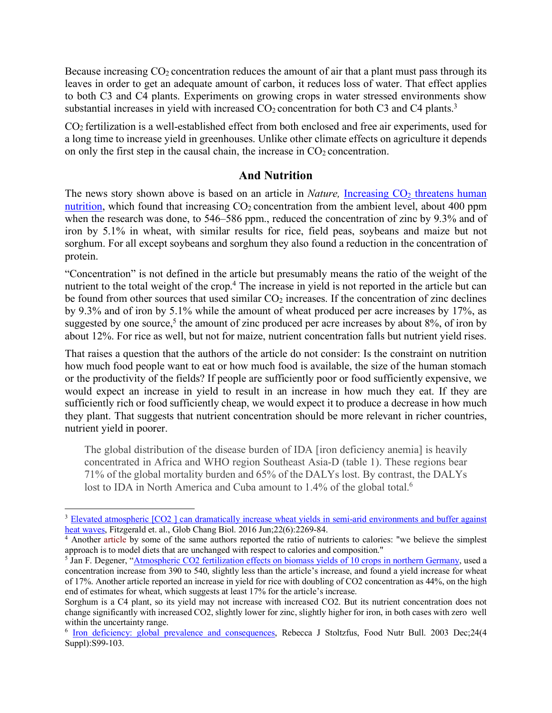Because increasing  $CO<sub>2</sub>$  concentration reduces the amount of air that a plant must pass through its leaves in order to get an adequate amount of carbon, it reduces loss of water. That effect applies to both C3 and C4 plants. Experiments on growing crops in water stressed environments show substantial increases in yield with increased  $CO<sub>2</sub>$  concentration for both C3 and C4 plants.<sup>3</sup>

CO2 fertilization is a well-established effect from both enclosed and free air experiments, used for a long time to increase yield in greenhouses. Unlike other climate effects on agriculture it depends on only the first step in the causal chain, the increase in  $CO<sub>2</sub>$  concentration.

### **And Nutrition**

The news story shown above is based on an article in *Nature*, Increasing  $CO<sub>2</sub>$  threatens human nutrition, which found that increasing  $CO<sub>2</sub>$  concentration from the ambient level, about 400 ppm when the research was done, to 546–586 ppm., reduced the concentration of zinc by 9.3% and of iron by 5.1% in wheat, with similar results for rice, field peas, soybeans and maize but not sorghum. For all except soybeans and sorghum they also found a reduction in the concentration of protein.

"Concentration" is not defined in the article but presumably means the ratio of the weight of the nutrient to the total weight of the crop.<sup>4</sup> The increase in yield is not reported in the article but can be found from other sources that used similar  $CO<sub>2</sub>$  increases. If the concentration of zinc declines by 9.3% and of iron by 5.1% while the amount of wheat produced per acre increases by 17%, as suggested by one source,<sup>5</sup> the amount of zinc produced per acre increases by about  $8\%$ , of iron by about 12%. For rice as well, but not for maize, nutrient concentration falls but nutrient yield rises.

That raises a question that the authors of the article do not consider: Is the constraint on nutrition how much food people want to eat or how much food is available, the size of the human stomach or the productivity of the fields? If people are sufficiently poor or food sufficiently expensive, we would expect an increase in yield to result in an increase in how much they eat. If they are sufficiently rich or food sufficiently cheap, we would expect it to produce a decrease in how much they plant. That suggests that nutrient concentration should be more relevant in richer countries, nutrient yield in poorer.

The global distribution of the disease burden of IDA [iron deficiency anemia] is heavily concentrated in Africa and WHO region Southeast Asia-D (table 1). These regions bear 71% of the global mortality burden and 65% of the DALYs lost. By contrast, the DALYs lost to IDA in North America and Cuba amount to 1.4% of the global total.<sup>6</sup>

<sup>&</sup>lt;sup>3</sup> Elevated atmospheric [CO2 ] can dramatically increase wheat yields in semi-arid environments and buffer against heat waves, Fitzgerald et. al., Glob Chang Biol. 2016 Jun;22(6):2269-84.

<sup>4</sup> Another article by some of the same authors reported the ratio of nutrients to calories: "we believe the simplest approach is to model diets that are unchanged with respect to calories and composition."

<sup>&</sup>lt;sup>5</sup> Jan F. Degener, "Atmospheric CO2 fertilization effects on biomass yields of 10 crops in northern Germany, used a concentration increase from 390 to 540, slightly less than the article's increase, and found a yield increase for wheat of 17%. Another article reported an increase in yield for rice with doubling of CO2 concentration as 44%, on the high end of estimates for wheat, which suggests at least 17% for the article's increase.

Sorghum is a C4 plant, so its yield may not increase with increased CO2. But its nutrient concentration does not change significantly with increased CO2, slightly lower for zinc, slightly higher for iron, in both cases with zero well within the uncertainty range.

<sup>&</sup>lt;sup>6</sup> Iron deficiency: global prevalence and consequences, Rebecca J Stoltzfus, Food Nutr Bull. 2003 Dec;24(4 Suppl):S99-103.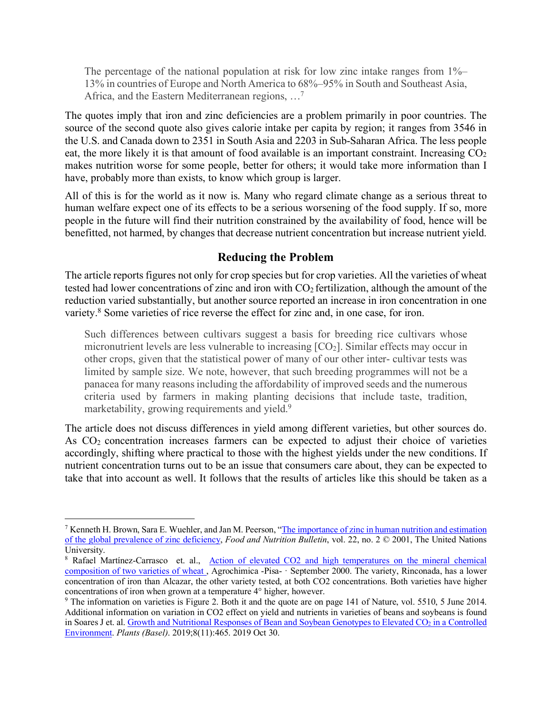The percentage of the national population at risk for low zinc intake ranges from 1%– 13% in countries of Europe and North America to 68%–95% in South and Southeast Asia, Africa, and the Eastern Mediterranean regions, …7

The quotes imply that iron and zinc deficiencies are a problem primarily in poor countries. The source of the second quote also gives calorie intake per capita by region; it ranges from 3546 in the U.S. and Canada down to 2351 in South Asia and 2203 in Sub-Saharan Africa. The less people eat, the more likely it is that amount of food available is an important constraint. Increasing  $CO<sub>2</sub>$ makes nutrition worse for some people, better for others; it would take more information than I have, probably more than exists, to know which group is larger.

All of this is for the world as it now is. Many who regard climate change as a serious threat to human welfare expect one of its effects to be a serious worsening of the food supply. If so, more people in the future will find their nutrition constrained by the availability of food, hence will be benefitted, not harmed, by changes that decrease nutrient concentration but increase nutrient yield.

# **Reducing the Problem**

The article reports figures not only for crop species but for crop varieties. All the varieties of wheat tested had lower concentrations of zinc and iron with  $CO<sub>2</sub>$  fertilization, although the amount of the reduction varied substantially, but another source reported an increase in iron concentration in one variety.8 Some varieties of rice reverse the effect for zinc and, in one case, for iron.

Such differences between cultivars suggest a basis for breeding rice cultivars whose micronutrient levels are less vulnerable to increasing  $[CO<sub>2</sub>]$ . Similar effects may occur in other crops, given that the statistical power of many of our other inter- cultivar tests was limited by sample size. We note, however, that such breeding programmes will not be a panacea for many reasons including the affordability of improved seeds and the numerous criteria used by farmers in making planting decisions that include taste, tradition, marketability, growing requirements and yield.<sup>9</sup>

The article does not discuss differences in yield among different varieties, but other sources do. As CO2 concentration increases farmers can be expected to adjust their choice of varieties accordingly, shifting where practical to those with the highest yields under the new conditions. If nutrient concentration turns out to be an issue that consumers care about, they can be expected to take that into account as well. It follows that the results of articles like this should be taken as a

 <sup>7</sup> Kenneth H. Brown, Sara E. Wuehler, and Jan M. Peerson, "The importance of zinc in human nutrition and estimation of the global prevalence of zinc deficiency, *Food and Nutrition Bulletin*, vol. 22, no. 2 © 2001, The United Nations University.

<sup>&</sup>lt;sup>8</sup> Rafael Martínez-Carrasco et. al., Action of elevated CO2 and high temperatures on the mineral chemical composition of two varieties of wheat , Agrochimica -Pisa- · September 2000. The variety, Rinconada, has a lower concentration of iron than Alcazar, the other variety tested, at both CO2 concentrations. Both varieties have higher concentrations of iron when grown at a temperature 4° higher, however.

<sup>9</sup> The information on varieties is Figure 2. Both it and the quote are on page 141 of Nature, vol. 5510, 5 June 2014. Additional information on variation in CO2 effect on yield and nutrients in varieties of beans and soybeans is found in Soares J et. al. Growth and Nutritional Responses of Bean and Soybean Genotypes to Elevated CO<sub>2</sub> in a Controlled Environment. *Plants (Basel)*. 2019;8(11):465. 2019 Oct 30.